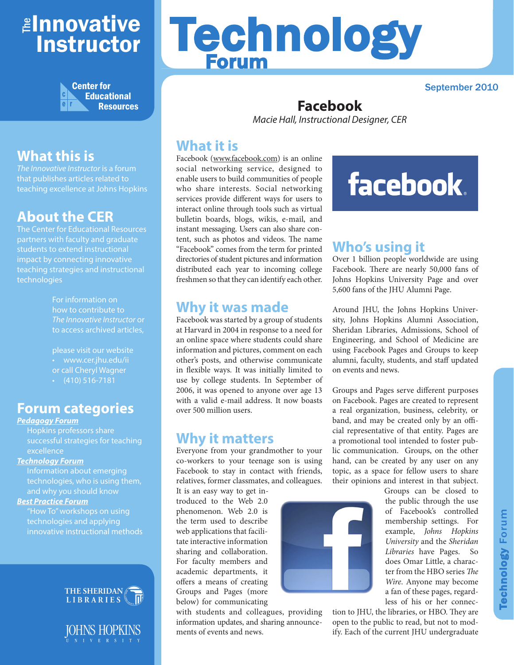# ≇l<mark>nnovative</mark> Instructor



# **What this is**

*The Innovative Instructor* is a forum that publishes articles related to teaching excellence at Johns Hopkins

## **About the CER**

The Center for Educational Resources partners with faculty and graduate students to extend instructional impact by connecting innovative teaching strategies and instructional technologies

> For information on how to contribute to *The Innovative Instructor* or to access archived articles,

please visit our website • www.cer.jhu.edu/ii or call Cheryl Wagner  $\cdot$  (410) 516-7181

## **Forum categories**

#### *Pedagogy Forum*

Hopkins professors share successful strategies for teaching excellence

#### *Technology Forum*

Information about emerging technologies, who is using them, and why you should know

#### *Best Practice Forum*

"How To" workshops on using technologies and applying innovative instructional methods





# Technology Forum

#### September 2010

#### **Facebook** *Macie Hall, Instructional Designer, CER*

## **What it is**

Facebook (www.facebook.com) is an online social networking service, designed to enable users to build communities of people who share interests. Social networking services provide different ways for users to interact online through tools such as virtual bulletin boards, blogs, wikis, e-mail, and instant messaging. Users can also share content, such as photos and videos. The name "Facebook" comes from the term for printed directories of student pictures and information distributed each year to incoming college freshmen so that they can identify each other.

## **Why it was made**

Facebook was started by a group of students at Harvard in 2004 in response to a need for an online space where students could share information and pictures, comment on each other's posts, and otherwise communicate in flexible ways. It was initially limited to use by college students. In September of 2006, it was opened to anyone over age 13 with a valid e-mail address. It now boasts over 500 million users.

## **Why it matters**

Everyone from your grandmother to your co-workers to your teenage son is using Facebook to stay in contact with friends, relatives, former classmates, and colleagues.

It is an easy way to get introduced to the Web 2.0 phenomenon. Web 2.0 is the term used to describe web applications that facilitate interactive information sharing and collaboration. For faculty members and academic departments, it offers a means of creating Groups and Pages (more below) for communicating

with students and colleagues, providing information updates, and sharing announcements of events and news.



Groups can be closed to the public through the use of Facebook's controlled membership settings. For example, *Johns Hopkins University* and the *Sheridan Libraries* have Pages. So does Omar Little, a character from the HBO series *The Wire*. Anyone may become a fan of these pages, regardless of his or her connec-

tion to JHU, the libraries, or HBO. They are open to the public to read, but not to modify. Each of the current JHU undergraduate

facebook.

# **Who's using it**

Over 1 billion people worldwide are using Facebook. There are nearly 50,000 fans of Johns Hopkins University Page and over 5,600 fans of the JHU Alumni Page.

Around JHU, the Johns Hopkins University, Johns Hopkins Alumni Association, Sheridan Libraries, Admissions, School of Engineering, and School of Medicine are using Facebook Pages and Groups to keep alumni, faculty, students, and staff updated on events and news.

Groups and Pages serve different purposes on Facebook. Pages are created to represent a real organization, business, celebrity, or band, and may be created only by an official representative of that entity. Pages are a promotional tool intended to foster public communication. Groups, on the other hand, can be created by any user on any topic, as a space for fellow users to share their opinions and interest in that subject.